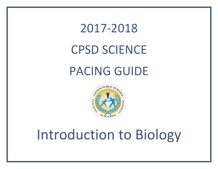## 2017-2018 CPSD SCIENCE PACING GUIDE



## Introduction to Biology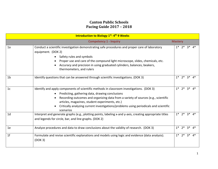## **Canton Public Schools Pacing Guide 2017 – 2018**

| <b>Introduction to Biology 1st-4th 9 Weeks</b>  |                                                                                                                                                                                                                                                                                                                                                                                            |      |                   |       |               |
|-------------------------------------------------|--------------------------------------------------------------------------------------------------------------------------------------------------------------------------------------------------------------------------------------------------------------------------------------------------------------------------------------------------------------------------------------------|------|-------------------|-------|---------------|
| <b>Competency 1 - Inquiry</b><br><b>Mastery</b> |                                                                                                                                                                                                                                                                                                                                                                                            |      |                   |       |               |
| 1a                                              | Conduct a scientific investigation demonstrating safe procedures and proper care of laboratory<br>equipment. (DOK 2)<br>Safety rules and symbols<br>Proper use and care of the compound light microscope, slides, chemicals, etc.<br>Accuracy and precision in using graduated cylinders, balances, beakers,<br>thermometers, and rulers                                                   |      |                   |       | $1* 2* 3* 4*$ |
| 1 <sub>b</sub>                                  | Identify questions that can be answered through scientific investigations. (DOK 3)                                                                                                                                                                                                                                                                                                         |      | $1*$ $2*$         | ?*    |               |
| 1 <sub>c</sub>                                  | Identify and apply components of scientific methods in classroom investigations. (DOK 3)<br>Predicting, gathering data, drawing conclusions<br>Recording outcomes and organizing data from a variety of sources (e.g., scientific<br>articles, magazines, student experiments, etc.)<br>Critically analyzing current investigations/problems using periodicals and scientific<br>scenarios | $1*$ | $2^*$             | $3*$  | 4*            |
| 1 <sub>d</sub>                                  | Interpret and generate graphs (e.g., plotting points, labeling x-and y-axis, creating appropriate titles<br>and legends for circle, bar, and line graphs. (DOK 2)                                                                                                                                                                                                                          | $1*$ | $2^*$             | $3^*$ | 4*            |
| 1e                                              | Analyze procedures and data to draw conclusions about the validity of research. (DOK 3)                                                                                                                                                                                                                                                                                                    |      | $1^*$ $2^*$ $3^*$ |       | 4*            |
| 1 <sub>f</sub>                                  | Formulate and revise scientific explanations and models using logic and evidence (data analysis).<br>(DOK 3)                                                                                                                                                                                                                                                                               |      | $1^*$ $2^*$ $3^*$ |       | 4*            |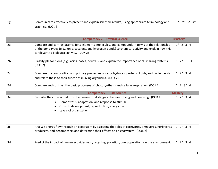| 1g             | Communicate effectively to present and explain scientific results, using appropriate terminology and<br>graphics. (DOK 3)                                                                                                                                   |                             |  |
|----------------|-------------------------------------------------------------------------------------------------------------------------------------------------------------------------------------------------------------------------------------------------------------|-----------------------------|--|
|                | <b>Competency 2 - Physical Science</b>                                                                                                                                                                                                                      | <b>Mastery</b>              |  |
| 2a             | Compare and contrast atoms, ions, elements, molecules, and compounds in terms of the relationship<br>of the bond types (e.g., ionic, covalent, and hydrogen bonds) to chemical activity and explain how this<br>is relevant to biological activity. (DOK 2) | $1*$ 2 3 4                  |  |
| 2 <sub>b</sub> | Classify pH solutions (e.g., acids, bases, neutrals) and explain the importance of pH in living systems.<br>(DOK 2)                                                                                                                                         | $1 \t2^*$<br>3 <sub>4</sub> |  |
| 2c             | Compare the composition and primary properties of carbohydrates, proteins, lipids, and nucleic acids<br>and relate these to their functions in living organisms. (DOK 2)                                                                                    |                             |  |
| 2d             | Compare and contrast the basic processes of photosynthesis and cellular respiration. (DOK 2)                                                                                                                                                                | $1 \t2 \t3 * 4$             |  |
|                | <b>Competency 3 - Life Science</b>                                                                                                                                                                                                                          | <b>Mastery</b>              |  |
| 3a             | Describe the criteria that must be present to distinguish between living and nonliving. (DOK 1)<br>Homeostasis, adaptation, and response to stimuli<br>Growth, development, reproduction, energy use<br>Levels of organization                              | $12*34$<br>$12*34$          |  |
| 3 <sub>c</sub> | Analyze energy flow through an ecosystem by assessing the roles of carnivores, omnivores, herbivores,<br>producers, and decomposers and determine their effects on an ecosystem. (DOK 2)                                                                    |                             |  |
| 3d             | Predict the impact of human activities (e.g., recycling, pollution, overpopulation) on the environment.                                                                                                                                                     | $12*34$                     |  |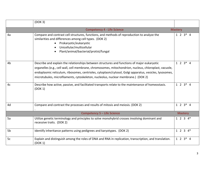|                                                      | (DOK 3)                                                                                                                                                                                                                                                                                                                                                                                              |                 |  |
|------------------------------------------------------|------------------------------------------------------------------------------------------------------------------------------------------------------------------------------------------------------------------------------------------------------------------------------------------------------------------------------------------------------------------------------------------------------|-----------------|--|
| <b>Competency 4 - Life Science</b><br><b>Mastery</b> |                                                                                                                                                                                                                                                                                                                                                                                                      |                 |  |
| 4a                                                   | Compare and contrast cell structures, functions, and methods of reproduction to analyze the<br>similarities and differences among cell types. (DOK 2)<br>Prokaryotic/eukaryotic<br>Unicellular/multicellular<br>Plant/animal/bacterial/protist/fungal                                                                                                                                                | $1 \t2 \t3 * 4$ |  |
| 4b                                                   | Describe and explain the relationships between structures and functions of major eukaryotic<br>organelles (e.g., cell wall, cell membrane, chromosomes, mitochondrion, nucleus, chloroplast, vacuole,<br>endoplasmic reticulum, ribosomes, centrioles, cytoplasm/cytosol, Golgi apparatus, vesicles, lysosomes,<br>microtubules, microfilaments, cytoskeleton, nucleolus, nuclear membrane.) (DOK 2) | $1 \t2 \t3 * 4$ |  |
| 4c                                                   | Describe how active, passive, and facilitated transports relate to the maintenance of homeostasis.<br>(DOK 1)                                                                                                                                                                                                                                                                                        | $1 \t2 \t3 * 4$ |  |
| 4d                                                   | Compare and contrast the processes and results of mitosis and meiosis. (DOK 2)                                                                                                                                                                                                                                                                                                                       | $1 \t2 \t3 * 4$ |  |
|                                                      | <b>Competency 5 - Life Science</b>                                                                                                                                                                                                                                                                                                                                                                   | <b>Mastery</b>  |  |
| 5a                                                   | Utilize genetic terminology and principles to solve monohybrid crosses involving dominant and<br>recessive traits. (DOK 2)                                                                                                                                                                                                                                                                           | $1 2 3 4*$      |  |
| 5b                                                   | Identify inheritance patterns using pedigrees and karyotypes. (DOK 2)                                                                                                                                                                                                                                                                                                                                | $1 2 3 4*$      |  |
| 5c                                                   | Explain and distinguish among the roles of DNA and RNA in replication, transcription, and translation.<br>(DOK 1)                                                                                                                                                                                                                                                                                    | $1 \t2 \t3 * 4$ |  |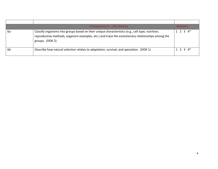|    | Competency 6 - Life Science                                                                                                                                                                                               | <b>Mastery</b>    |
|----|---------------------------------------------------------------------------------------------------------------------------------------------------------------------------------------------------------------------------|-------------------|
| 6а | Classify organisms into groups based on their unique characteristics (e.g., cell type, nutrition,<br>reproductive methods, organism examples, etc.) and trace the evolutionary relationships among the<br>groups. (DOK 2) | $1 \t2 \t3 \t4^*$ |
| 6b | Describe how natural selection relates to adaptation, survival, and speciation. (DOK 1)                                                                                                                                   | $1 \t2 \t3 \t4^*$ |